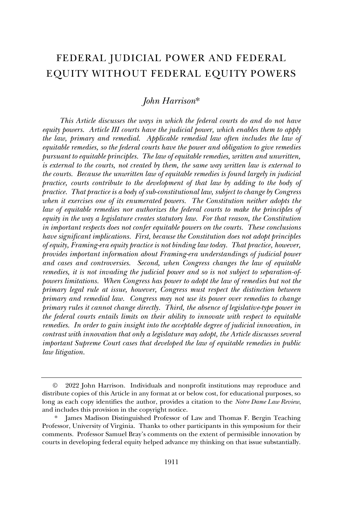# FEDERAL JUDICIAL POWER AND FEDERAL EQUITY WITHOUT FEDERAL EQUITY POWERS

# *John Harrison*\*

*This Article discusses the ways in which the federal courts do and do not have equity powers. Article III courts have the judicial power, which enables them to apply the law, primary and remedial. Applicable remedial law often includes the law of equitable remedies, so the federal courts have the power and obligation to give remedies pursuant to equitable principles. The law of equitable remedies, written and unwritten, is external to the courts, not created by them, the same way written law is external to the courts. Because the unwritten law of equitable remedies is found largely in judicial practice, courts contribute to the development of that law by adding to the body of practice. That practice is a body of sub-constitutional law, subject to change by Congress when it exercises one of its enumerated powers. The Constitution neither adopts the law of equitable remedies nor authorizes the federal courts to make the principles of equity in the way a legislature creates statutory law. For that reason, the Constitution in important respects does not confer equitable powers on the courts. These conclusions have significant implications. First, because the Constitution does not adopt principles of equity, Framing-era equity practice is not binding law today. That practice, however, provides important information about Framing-era understandings of judicial power and cases and controversies. Second, when Congress changes the law of equitable remedies, it is not invading the judicial power and so is not subject to separation-ofpowers limitations. When Congress has power to adopt the law of remedies but not the primary legal rule at issue, however, Congress must respect the distinction between primary and remedial law. Congress may not use its power over remedies to change primary rules it cannot change directly. Third, the absence of legislative-type power in the federal courts entails limits on their ability to innovate with respect to equitable remedies. In order to gain insight into the acceptable degree of judicial innovation, in contrast with innovation that only a legislature may adopt, the Article discusses several important Supreme Court cases that developed the law of equitable remedies in public law litigation.* 

<sup>©</sup> 2022 John Harrison. Individuals and nonprofit institutions may reproduce and distribute copies of this Article in any format at or below cost, for educational purposes, so long as each copy identifies the author, provides a citation to the *Notre Dame Law Review*, and includes this provision in the copyright notice.

James Madison Distinguished Professor of Law and Thomas F. Bergin Teaching Professor, University of Virginia. Thanks to other participants in this symposium for their comments. Professor Samuel Bray's comments on the extent of permissible innovation by courts in developing federal equity helped advance my thinking on that issue substantially.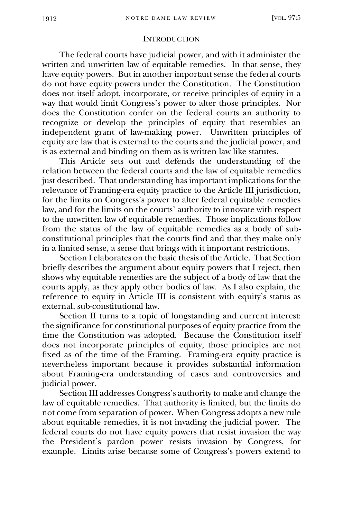### **INTRODUCTION**

The federal courts have judicial power, and with it administer the written and unwritten law of equitable remedies. In that sense, they have equity powers. But in another important sense the federal courts do not have equity powers under the Constitution. The Constitution does not itself adopt, incorporate, or receive principles of equity in a way that would limit Congress's power to alter those principles. Nor does the Constitution confer on the federal courts an authority to recognize or develop the principles of equity that resembles an independent grant of law-making power. Unwritten principles of equity are law that is external to the courts and the judicial power, and is as external and binding on them as is written law like statutes.

This Article sets out and defends the understanding of the relation between the federal courts and the law of equitable remedies just described. That understanding has important implications for the relevance of Framing-era equity practice to the Article III jurisdiction, for the limits on Congress's power to alter federal equitable remedies law, and for the limits on the courts' authority to innovate with respect to the unwritten law of equitable remedies. Those implications follow from the status of the law of equitable remedies as a body of subconstitutional principles that the courts find and that they make only in a limited sense, a sense that brings with it important restrictions.

Section I elaborates on the basic thesis of the Article. That Section briefly describes the argument about equity powers that I reject, then shows why equitable remedies are the subject of a body of law that the courts apply, as they apply other bodies of law. As I also explain, the reference to equity in Article III is consistent with equity's status as external, sub-constitutional law.

Section II turns to a topic of longstanding and current interest: the significance for constitutional purposes of equity practice from the time the Constitution was adopted. Because the Constitution itself does not incorporate principles of equity, those principles are not fixed as of the time of the Framing. Framing-era equity practice is nevertheless important because it provides substantial information about Framing-era understanding of cases and controversies and judicial power.

Section III addresses Congress's authority to make and change the law of equitable remedies. That authority is limited, but the limits do not come from separation of power. When Congress adopts a new rule about equitable remedies, it is not invading the judicial power. The federal courts do not have equity powers that resist invasion the way the President's pardon power resists invasion by Congress, for example. Limits arise because some of Congress's powers extend to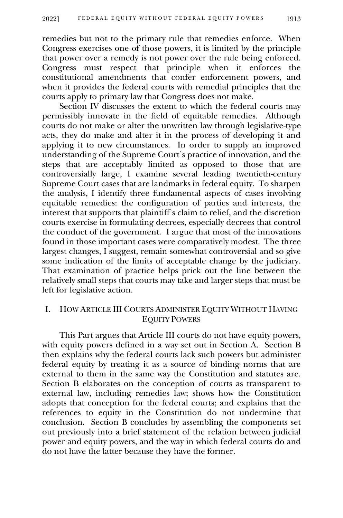remedies but not to the primary rule that remedies enforce. When Congress exercises one of those powers, it is limited by the principle that power over a remedy is not power over the rule being enforced. Congress must respect that principle when it enforces the constitutional amendments that confer enforcement powers, and when it provides the federal courts with remedial principles that the courts apply to primary law that Congress does not make.

Section IV discusses the extent to which the federal courts may permissibly innovate in the field of equitable remedies. Although courts do not make or alter the unwritten law through legislative-type acts, they do make and alter it in the process of developing it and applying it to new circumstances. In order to supply an improved understanding of the Supreme Court's practice of innovation, and the steps that are acceptably limited as opposed to those that are controversially large, I examine several leading twentieth-century Supreme Court cases that are landmarks in federal equity. To sharpen the analysis, I identify three fundamental aspects of cases involving equitable remedies: the configuration of parties and interests, the interest that supports that plaintiff's claim to relief, and the discretion courts exercise in formulating decrees, especially decrees that control the conduct of the government. I argue that most of the innovations found in those important cases were comparatively modest. The three largest changes, I suggest, remain somewhat controversial and so give some indication of the limits of acceptable change by the judiciary. That examination of practice helps prick out the line between the relatively small steps that courts may take and larger steps that must be left for legislative action.

# I. HOW ARTICLE III COURTS ADMINISTER EQUITY WITHOUT HAVING EQUITY POWERS

This Part argues that Article III courts do not have equity powers, with equity powers defined in a way set out in Section A. Section B then explains why the federal courts lack such powers but administer federal equity by treating it as a source of binding norms that are external to them in the same way the Constitution and statutes are. Section B elaborates on the conception of courts as transparent to external law, including remedies law; shows how the Constitution adopts that conception for the federal courts; and explains that the references to equity in the Constitution do not undermine that conclusion. Section B concludes by assembling the components set out previously into a brief statement of the relation between judicial power and equity powers, and the way in which federal courts do and do not have the latter because they have the former.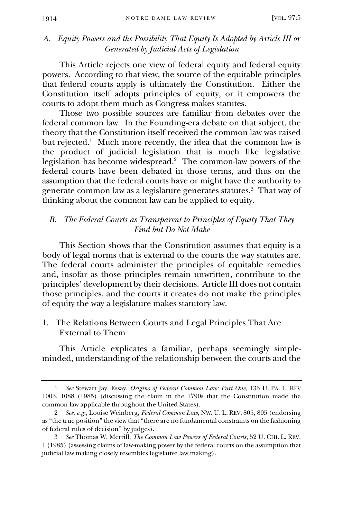# *A. Equity Powers and the Possibility That Equity Is Adopted by Article III or Generated by Judicial Acts of Legislation*

This Article rejects one view of federal equity and federal equity powers. According to that view, the source of the equitable principles that federal courts apply is ultimately the Constitution. Either the Constitution itself adopts principles of equity, or it empowers the courts to adopt them much as Congress makes statutes.

Those two possible sources are familiar from debates over the federal common law. In the Founding-era debate on that subject, the theory that the Constitution itself received the common law was raised but rejected.<sup>1</sup> Much more recently, the idea that the common law is the product of judicial legislation that is much like legislative legislation has become widespread. 2 The common-law powers of the federal courts have been debated in those terms, and thus on the assumption that the federal courts have or might have the authority to generate common law as a legislature generates statutes.<sup>3</sup> That way of thinking about the common law can be applied to equity.

# *B. The Federal Courts as Transparent to Principles of Equity That They Find but Do Not Make*

This Section shows that the Constitution assumes that equity is a body of legal norms that is external to the courts the way statutes are. The federal courts administer the principles of equitable remedies and, insofar as those principles remain unwritten, contribute to the principles' development by their decisions. Article III does not contain those principles, and the courts it creates do not make the principles of equity the way a legislature makes statutory law.

1. The Relations Between Courts and Legal Principles That Are External to Them

This Article explicates a familiar, perhaps seemingly simpleminded, understanding of the relationship between the courts and the

<sup>1</sup> *See* Stewart Jay, Essay, *Origins of Federal Common Law: Part One*, 133 U. PA. L. REV 1003, 1088 (1985) (discussing the claim in the 1790s that the Constitution made the common law applicable throughout the United States).

<sup>2</sup> *See*, *e.g.*, Louise Weinberg, *Federal Common Law*, NW. U. L. REV. 805, 805 (endorsing as "the true position" the view that "there are no fundamental constraints on the fashioning of federal rules of decision" by judges).

<sup>3</sup> *See* Thomas W. Merrill, *The Common Law Powers of Federal Courts*, 52 U. CHI. L. REV. 1 (1985) (assessing claims of law-making power by the federal courts on the assumption that judicial law making closely resembles legislative law making).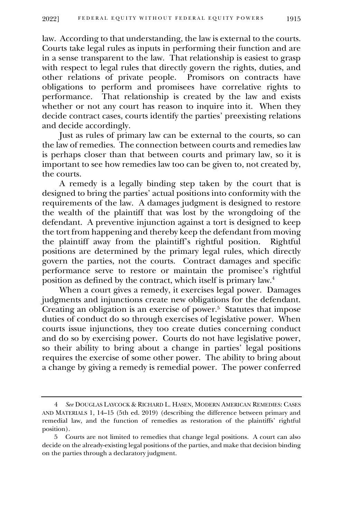law. According to that understanding, the law is external to the courts. Courts take legal rules as inputs in performing their function and are in a sense transparent to the law. That relationship is easiest to grasp with respect to legal rules that directly govern the rights, duties, and other relations of private people. Promisors on contracts have obligations to perform and promisees have correlative rights to performance. That relationship is created by the law and exists whether or not any court has reason to inquire into it. When they decide contract cases, courts identify the parties' preexisting relations and decide accordingly.

Just as rules of primary law can be external to the courts, so can the law of remedies. The connection between courts and remedies law is perhaps closer than that between courts and primary law, so it is important to see how remedies law too can be given to, not created by, the courts.

A remedy is a legally binding step taken by the court that is designed to bring the parties' actual positions into conformity with the requirements of the law. A damages judgment is designed to restore the wealth of the plaintiff that was lost by the wrongdoing of the defendant. A preventive injunction against a tort is designed to keep the tort from happening and thereby keep the defendant from moving the plaintiff away from the plaintiff's rightful position. Rightful positions are determined by the primary legal rules, which directly govern the parties, not the courts. Contract damages and specific performance serve to restore or maintain the promisee's rightful position as defined by the contract, which itself is primary law.<sup>4</sup>

When a court gives a remedy, it exercises legal power. Damages judgments and injunctions create new obligations for the defendant. Creating an obligation is an exercise of power.<sup>5</sup> Statutes that impose duties of conduct do so through exercises of legislative power. When courts issue injunctions, they too create duties concerning conduct and do so by exercising power. Courts do not have legislative power, so their ability to bring about a change in parties' legal positions requires the exercise of some other power. The ability to bring about a change by giving a remedy is remedial power. The power conferred

<sup>4</sup> *See* DOUGLAS LAYCOCK & RICHARD L. HASEN, MODERN AMERICAN REMEDIES: CASES AND MATERIALS 1, 14–15 (5th ed. 2019) (describing the difference between primary and remedial law, and the function of remedies as restoration of the plaintiffs' rightful position).

<sup>5</sup> Courts are not limited to remedies that change legal positions. A court can also decide on the already-existing legal positions of the parties, and make that decision binding on the parties through a declaratory judgment.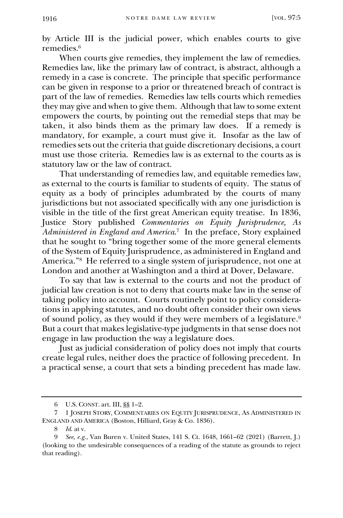by Article III is the judicial power, which enables courts to give remedies.<sup>6</sup>

When courts give remedies, they implement the law of remedies. Remedies law, like the primary law of contract, is abstract, although a remedy in a case is concrete. The principle that specific performance can be given in response to a prior or threatened breach of contract is part of the law of remedies. Remedies law tells courts which remedies they may give and when to give them. Although that law to some extent empowers the courts, by pointing out the remedial steps that may be taken, it also binds them as the primary law does. If a remedy is mandatory, for example, a court must give it. Insofar as the law of remedies sets out the criteria that guide discretionary decisions, a court must use those criteria. Remedies law is as external to the courts as is statutory law or the law of contract.

That understanding of remedies law, and equitable remedies law, as external to the courts is familiar to students of equity. The status of equity as a body of principles adumbrated by the courts of many jurisdictions but not associated specifically with any one jurisdiction is visible in the title of the first great American equity treatise. In 1836, Justice Story published *Commentaries on Equity Jurisprudence, As Administered in England and America*. 7 In the preface, Story explained that he sought to "bring together some of the more general elements of the System of Equity Jurisprudence, as administered in England and America."<sup>8</sup> He referred to a single system of jurisprudence, not one at London and another at Washington and a third at Dover, Delaware.

To say that law is external to the courts and not the product of judicial law creation is not to deny that courts make law in the sense of taking policy into account. Courts routinely point to policy considerations in applying statutes, and no doubt often consider their own views of sound policy, as they would if they were members of a legislature.<sup>9</sup> But a court that makes legislative-type judgments in that sense does not engage in law production the way a legislature does.

Just as judicial consideration of policy does not imply that courts create legal rules, neither does the practice of following precedent. In a practical sense, a court that sets a binding precedent has made law.

<sup>6</sup> U.S. CONST. art. III, §§ 1–2.

<sup>7</sup> 1 JOSEPH STORY, COMMENTARIES ON EQUITY JURISPRUDENCE, AS ADMINISTERED IN ENGLAND AND AMERICA (Boston, Hilliard, Gray & Co. 1836).

<sup>8</sup> *Id*. at v.

<sup>9</sup> *See*, *e.g.*, Van Buren v. United States, 141 S. Ct. 1648, 1661–62 (2021) (Barrett, J.) (looking to the undesirable consequences of a reading of the statute as grounds to reject that reading).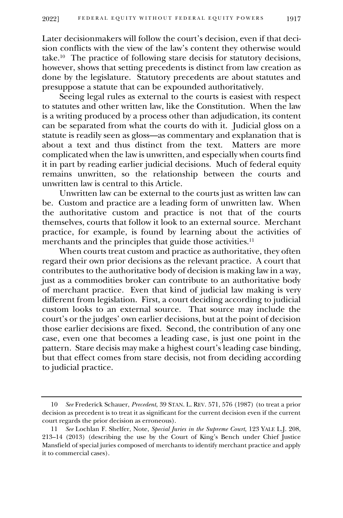Later decisionmakers will follow the court's decision, even if that decision conflicts with the view of the law's content they otherwise would take.<sup>10</sup> The practice of following stare decisis for statutory decisions, however, shows that setting precedents is distinct from law creation as done by the legislature. Statutory precedents are about statutes and presuppose a statute that can be expounded authoritatively.

Seeing legal rules as external to the courts is easiest with respect to statutes and other written law, like the Constitution. When the law is a writing produced by a process other than adjudication, its content can be separated from what the courts do with it. Judicial gloss on a statute is readily seen as gloss—as commentary and explanation that is about a text and thus distinct from the text. Matters are more complicated when the law is unwritten, and especially when courts find it in part by reading earlier judicial decisions. Much of federal equity remains unwritten, so the relationship between the courts and unwritten law is central to this Article.

Unwritten law can be external to the courts just as written law can be. Custom and practice are a leading form of unwritten law. When the authoritative custom and practice is not that of the courts themselves, courts that follow it look to an external source. Merchant practice, for example, is found by learning about the activities of merchants and the principles that guide those activities.<sup>11</sup>

When courts treat custom and practice as authoritative, they often regard their own prior decisions as the relevant practice. A court that contributes to the authoritative body of decision is making law in a way, just as a commodities broker can contribute to an authoritative body of merchant practice. Even that kind of judicial law making is very different from legislation. First, a court deciding according to judicial custom looks to an external source. That source may include the court's or the judges' own earlier decisions, but at the point of decision those earlier decisions are fixed. Second, the contribution of any one case, even one that becomes a leading case, is just one point in the pattern. Stare decisis may make a highest court's leading case binding, but that effect comes from stare decisis, not from deciding according to judicial practice.

<sup>10</sup> *See* Frederick Schauer, *Precedent*, 39 STAN. L. REV. 571, 576 (1987) (to treat a prior decision as precedent is to treat it as significant for the current decision even if the current court regards the prior decision as erroneous).

<sup>11</sup> *See* Lochlan F. Shelfer, Note, *Special Juries in the Supreme Court*, 123 YALE L.J. 208, 213–14 (2013) (describing the use by the Court of King's Bench under Chief Justice Mansfield of special juries composed of merchants to identify merchant practice and apply it to commercial cases).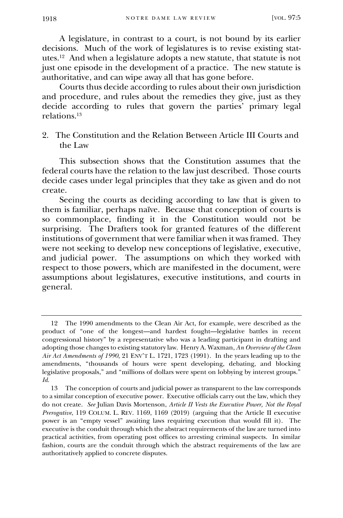A legislature, in contrast to a court, is not bound by its earlier decisions. Much of the work of legislatures is to revise existing statutes.<sup>12</sup> And when a legislature adopts a new statute, that statute is not just one episode in the development of a practice. The new statute is authoritative, and can wipe away all that has gone before.

Courts thus decide according to rules about their own jurisdiction and procedure, and rules about the remedies they give, just as they decide according to rules that govern the parties' primary legal relations.<sup>13</sup>

2. The Constitution and the Relation Between Article III Courts and the Law

This subsection shows that the Constitution assumes that the federal courts have the relation to the law just described. Those courts decide cases under legal principles that they take as given and do not create.

Seeing the courts as deciding according to law that is given to them is familiar, perhaps naïve. Because that conception of courts is so commonplace, finding it in the Constitution would not be surprising. The Drafters took for granted features of the different institutions of government that were familiar when it was framed. They were not seeking to develop new conceptions of legislative, executive, and judicial power. The assumptions on which they worked with respect to those powers, which are manifested in the document, were assumptions about legislatures, executive institutions, and courts in general.

<sup>12</sup> The 1990 amendments to the Clean Air Act, for example, were described as the product of "one of the longest—and hardest fought—legislative battles in recent congressional history" by a representative who was a leading participant in drafting and adopting those changes to existing statutory law. Henry A. Waxman, *An Overview of the Clean Air Act Amendments of 1990*, 21 ENV'T L. 1721, 1723 (1991). In the years leading up to the amendments, "thousands of hours were spent developing, debating, and blocking legislative proposals," and "millions of dollars were spent on lobbying by interest groups." *Id.*

<sup>13</sup> The conception of courts and judicial power as transparent to the law corresponds to a similar conception of executive power. Executive officials carry out the law, which they do not create. *See* Julian Davis Mortenson, *Article II Vests the Executive Power, Not the Royal Prerogative*, 119 COLUM. L. REV. 1169, 1169 (2019) (arguing that the Article II executive power is an "empty vessel" awaiting laws requiring execution that would fill it). The executive is the conduit through which the abstract requirements of the law are turned into practical activities, from operating post offices to arresting criminal suspects. In similar fashion, courts are the conduit through which the abstract requirements of the law are authoritatively applied to concrete disputes.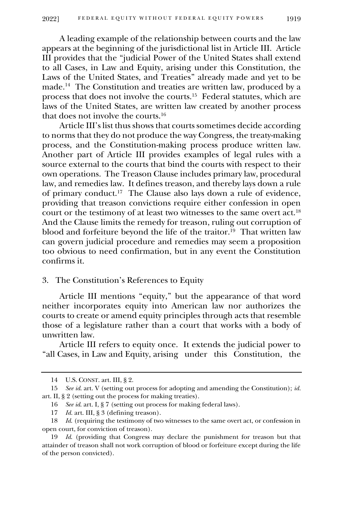A leading example of the relationship between courts and the law appears at the beginning of the jurisdictional list in Article III. Article III provides that the "judicial Power of the United States shall extend to all Cases, in Law and Equity, arising under this Constitution, the Laws of the United States, and Treaties" already made and yet to be made.<sup>14</sup> The Constitution and treaties are written law, produced by a process that does not involve the courts.<sup>15</sup> Federal statutes, which are laws of the United States, are written law created by another process that does not involve the courts.<sup>16</sup>

Article III's list thus shows that courts sometimes decide according to norms that they do not produce the way Congress, the treaty-making process, and the Constitution-making process produce written law. Another part of Article III provides examples of legal rules with a source external to the courts that bind the courts with respect to their own operations. The Treason Clause includes primary law, procedural law, and remedies law. It defines treason, and thereby lays down a rule of primary conduct.<sup>17</sup> The Clause also lays down a rule of evidence, providing that treason convictions require either confession in open court or the testimony of at least two witnesses to the same overt act.<sup>18</sup> And the Clause limits the remedy for treason, ruling out corruption of blood and forfeiture beyond the life of the traitor.<sup>19</sup> That written law can govern judicial procedure and remedies may seem a proposition too obvious to need confirmation, but in any event the Constitution confirms it.

### 3. The Constitution's References to Equity

Article III mentions "equity," but the appearance of that word neither incorporates equity into American law nor authorizes the courts to create or amend equity principles through acts that resemble those of a legislature rather than a court that works with a body of unwritten law.

Article III refers to equity once. It extends the judicial power to "all Cases, in Law and Equity, arising under this Constitution, the

<sup>14</sup> U.S. CONST. art. III, § 2.

<sup>15</sup> *See id*. art. V (setting out process for adopting and amending the Constitution); *id.*  art. II, § 2 (setting out the process for making treaties).

<sup>16</sup> *See id*. art. I, § 7 (setting out process for making federal laws).

<sup>17</sup> *Id.* art. III, § 3 (defining treason).

<sup>18</sup> *Id*. (requiring the testimony of two witnesses to the same overt act, or confession in open court, for conviction of treason).

<sup>19</sup> *Id*. (providing that Congress may declare the punishment for treason but that attainder of treason shall not work corruption of blood or forfeiture except during the life of the person convicted).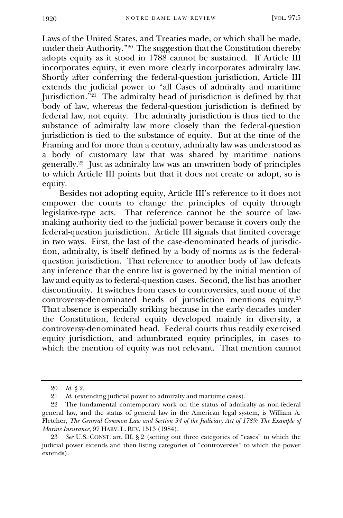Laws of the United States, and Treaties made, or which shall be made, under their Authority."<sup>20</sup> The suggestion that the Constitution thereby adopts equity as it stood in 1788 cannot be sustained. If Article III incorporates equity, it even more clearly incorporates admiralty law. Shortly after conferring the federal-question jurisdiction, Article III extends the judicial power to "all Cases of admiralty and maritime Jurisdiction."<sup>21</sup> The admiralty head of jurisdiction is defined by that body of law, whereas the federal-question jurisdiction is defined by federal law, not equity. The admiralty jurisdiction is thus tied to the substance of admiralty law more closely than the federal-question jurisdiction is tied to the substance of equity. But at the time of the Framing and for more than a century, admiralty law was understood as a body of customary law that was shared by maritime nations generally.<sup>22</sup> Just as admiralty law was an unwritten body of principles to which Article III points but that it does not create or adopt, so is equity.

Besides not adopting equity, Article III's reference to it does not empower the courts to change the principles of equity through legislative-type acts. That reference cannot be the source of lawmaking authority tied to the judicial power because it covers only the federal-question jurisdiction. Article III signals that limited coverage in two ways. First, the last of the case-denominated heads of jurisdiction, admiralty, is itself defined by a body of norms as is the federalquestion jurisdiction. That reference to another body of law defeats any inference that the entire list is governed by the initial mention of law and equity as to federal-question cases. Second, the list has another discontinuity. It switches from cases to controversies, and none of the controversy-denominated heads of jurisdiction mentions equity.<sup>23</sup> That absence is especially striking because in the early decades under the Constitution, federal equity developed mainly in diversity, a controversy-denominated head. Federal courts thus readily exercised equity jurisdiction, and adumbrated equity principles, in cases to which the mention of equity was not relevant. That mention cannot

<sup>20</sup> *Id.* § 2.

<sup>21</sup> *Id*. (extending judicial power to admiralty and maritime cases).

<sup>22</sup> The fundamental contemporary work on the status of admiralty as non-federal general law, and the status of general law in the American legal system, is William A. Fletcher, *The General Common Law and Section 34 of the Judiciary Act of 1789: The Example of Marine Insurance*, 97 HARV. L. REV. 1513 (1984).

<sup>23</sup> *See* U.S. CONST. art. III, § 2 (setting out three categories of "cases" to which the judicial power extends and then listing categories of "controversies" to which the power extends).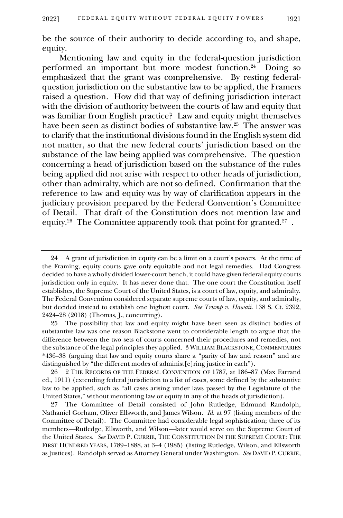be the source of their authority to decide according to, and shape, equity.

Mentioning law and equity in the federal-question jurisdiction performed an important but more modest function.<sup>24</sup> Doing so emphasized that the grant was comprehensive. By resting federalquestion jurisdiction on the substantive law to be applied, the Framers raised a question. How did that way of defining jurisdiction interact with the division of authority between the courts of law and equity that was familiar from English practice? Law and equity might themselves have been seen as distinct bodies of substantive law.<sup>25</sup> The answer was to clarify that the institutional divisions found in the English system did not matter, so that the new federal courts' jurisdiction based on the substance of the law being applied was comprehensive. The question concerning a head of jurisdiction based on the substance of the rules being applied did not arise with respect to other heads of jurisdiction, other than admiralty, which are not so defined. Confirmation that the reference to law and equity was by way of clarification appears in the judiciary provision prepared by the Federal Convention's Committee of Detail. That draft of the Constitution does not mention law and equity.<sup>26</sup> The Committee apparently took that point for granted.<sup>27</sup> .

25 The possibility that law and equity might have been seen as distinct bodies of substantive law was one reason Blackstone went to considerable length to argue that the difference between the two sets of courts concerned their procedures and remedies, not the substance of the legal principles they applied. 3 WILLIAM BLACKSTONE, COMMENTARIES \*436–38 (arguing that law and equity courts share a "parity of law and reason" and are distinguished by "the different modes of administ[e]ring justice in each").

<sup>24</sup> A grant of jurisdiction in equity can be a limit on a court's powers. At the time of the Framing, equity courts gave only equitable and not legal remedies. Had Congress decided to have a wholly divided lower-court bench, it could have given federal equity courts jurisdiction only in equity. It has never done that. The one court the Constitution itself establishes, the Supreme Court of the United States, is a court of law, equity, and admiralty. The Federal Convention considered separate supreme courts of law, equity, and admiralty, but decided instead to establish one highest court. *See Trump v. Hawaii*. 138 S. Ct. 2392, 2424–28 (2018) (Thomas, J., concurring).

<sup>26</sup> 2 THE RECORDS OF THE FEDERAL CONVENTION OF 1787, at 186–87 (Max Farrand ed., 1911) (extending federal jurisdiction to a list of cases, some defined by the substantive law to be applied, such as "all cases arising under laws passed by the Legislature of the United States," without mentioning law or equity in any of the heads of jurisdiction).

<sup>27</sup> The Committee of Detail consisted of John Rutledge, Edmund Randolph, Nathaniel Gorham, Oliver Ellsworth, and James Wilson. *Id.* at 97 (listing members of the Committee of Detail). The Committee had considerable legal sophistication; three of its members*—*Rutledge, Ellsworth, and Wilson*—*later would serve on the Supreme Court of the United States. *See* DAVID P. CURRIE, THE CONSTITUTION IN THE SUPREME COURT: THE FIRST HUNDRED YEARS, 1789–1888, at 3–4 (1985) (listing Rutledge, Wilson, and Ellsworth as Justices). Randolph served as Attorney General under Washington. *See* DAVID P. CURRIE,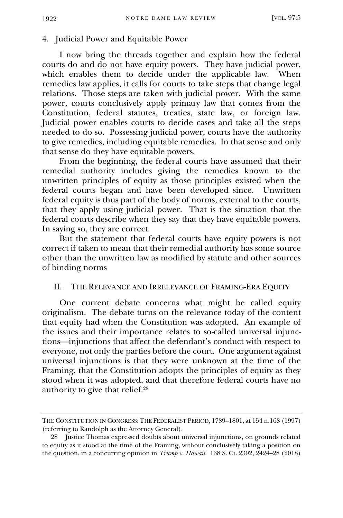4. Judicial Power and Equitable Power

I now bring the threads together and explain how the federal courts do and do not have equity powers. They have judicial power, which enables them to decide under the applicable law. When remedies law applies, it calls for courts to take steps that change legal relations. Those steps are taken with judicial power. With the same power, courts conclusively apply primary law that comes from the Constitution, federal statutes, treaties, state law, or foreign law. Judicial power enables courts to decide cases and take all the steps needed to do so. Possessing judicial power, courts have the authority to give remedies, including equitable remedies. In that sense and only that sense do they have equitable powers.

From the beginning, the federal courts have assumed that their remedial authority includes giving the remedies known to the unwritten principles of equity as those principles existed when the federal courts began and have been developed since. Unwritten federal equity is thus part of the body of norms, external to the courts, that they apply using judicial power. That is the situation that the federal courts describe when they say that they have equitable powers. In saying so, they are correct.

But the statement that federal courts have equity powers is not correct if taken to mean that their remedial authority has some source other than the unwritten law as modified by statute and other sources of binding norms

### II. THE RELEVANCE AND IRRELEVANCE OF FRAMING-ERA EQUITY

One current debate concerns what might be called equity originalism. The debate turns on the relevance today of the content that equity had when the Constitution was adopted. An example of the issues and their importance relates to so-called universal injunctions—injunctions that affect the defendant's conduct with respect to everyone, not only the parties before the court. One argument against universal injunctions is that they were unknown at the time of the Framing, that the Constitution adopts the principles of equity as they stood when it was adopted, and that therefore federal courts have no authority to give that relief.<sup>28</sup>

THE CONSTITUTION IN CONGRESS: THE FEDERALIST PERIOD, 1789–1801, at 154 n.168 (1997) (referring to Randolph as the Attorney General).

<sup>28</sup> Justice Thomas expressed doubts about universal injunctions, on grounds related to equity as it stood at the time of the Framing, without conclusively taking a position on the question, in a concurring opinion in *Trump v. Hawaii*. 138 S. Ct. 2392, 2424–28 (2018)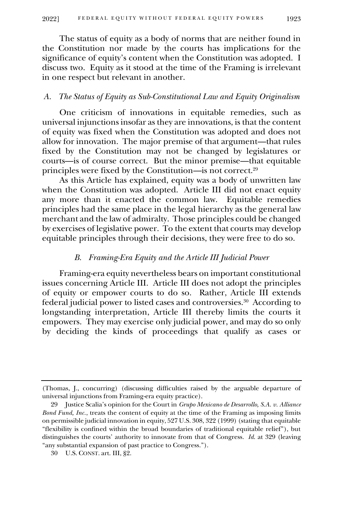The status of equity as a body of norms that are neither found in the Constitution nor made by the courts has implications for the significance of equity's content when the Constitution was adopted. I discuss two. Equity as it stood at the time of the Framing is irrelevant in one respect but relevant in another.

#### *A. The Status of Equity as Sub-Constitutional Law and Equity Originalism*

One criticism of innovations in equitable remedies, such as universal injunctions insofar as they are innovations, is that the content of equity was fixed when the Constitution was adopted and does not allow for innovation. The major premise of that argument—that rules fixed by the Constitution may not be changed by legislatures or courts—is of course correct. But the minor premise—that equitable principles were fixed by the Constitution—is not correct.<sup>29</sup>

As this Article has explained, equity was a body of unwritten law when the Constitution was adopted. Article III did not enact equity any more than it enacted the common law. Equitable remedies principles had the same place in the legal hierarchy as the general law merchant and the law of admiralty. Those principles could be changed by exercises of legislative power. To the extent that courts may develop equitable principles through their decisions, they were free to do so.

#### *B. Framing-Era Equity and the Article III Judicial Power*

Framing-era equity nevertheless bears on important constitutional issues concerning Article III. Article III does not adopt the principles of equity or empower courts to do so. Rather, Article III extends federal judicial power to listed cases and controversies.<sup>30</sup> According to longstanding interpretation, Article III thereby limits the courts it empowers. They may exercise only judicial power, and may do so only by deciding the kinds of proceedings that qualify as cases or

<sup>(</sup>Thomas, J., concurring) (discussing difficulties raised by the arguable departure of universal injunctions from Framing-era equity practice).

<sup>29</sup> Justice Scalia's opinion for the Court in *Grupo Mexicano de Desarrollo, S.A. v. Alliance Bond Fund, Inc.*, treats the content of equity at the time of the Framing as imposing limits on permissible judicial innovation in equity, 527 U.S. 308, 322 (1999) (stating that equitable "flexibility is confined within the broad boundaries of traditional equitable relief"), but distinguishes the courts' authority to innovate from that of Congress. *Id*. at 329 (leaving "any substantial expansion of past practice to Congress.").

<sup>30</sup> U.S. CONST. art. III, §2.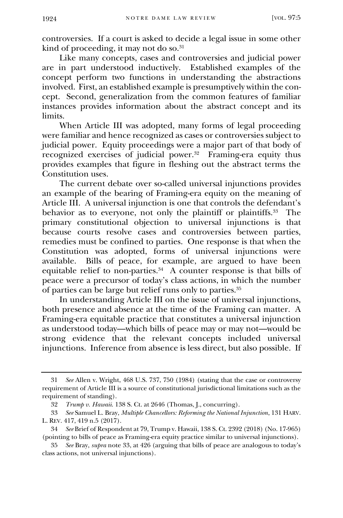controversies. If a court is asked to decide a legal issue in some other kind of proceeding, it may not do so.<sup>31</sup>

Like many concepts, cases and controversies and judicial power are in part understood inductively. Established examples of the concept perform two functions in understanding the abstractions involved. First, an established example is presumptively within the concept. Second, generalization from the common features of familiar instances provides information about the abstract concept and its limits.

When Article III was adopted, many forms of legal proceeding were familiar and hence recognized as cases or controversies subject to judicial power. Equity proceedings were a major part of that body of recognized exercises of judicial power.<sup>32</sup> Framing-era equity thus provides examples that figure in fleshing out the abstract terms the Constitution uses.

The current debate over so-called universal injunctions provides an example of the bearing of Framing-era equity on the meaning of Article III. A universal injunction is one that controls the defendant's behavior as to everyone, not only the plaintiff or plaintiffs.<sup>33</sup> The primary constitutional objection to universal injunctions is that because courts resolve cases and controversies between parties, remedies must be confined to parties. One response is that when the Constitution was adopted, forms of universal injunctions were available. Bills of peace, for example, are argued to have been equitable relief to non-parties.<sup>34</sup> A counter response is that bills of peace were a precursor of today's class actions, in which the number of parties can be large but relief runs only to parties.<sup>35</sup>

In understanding Article III on the issue of universal injunctions, both presence and absence at the time of the Framing can matter. A Framing-era equitable practice that constitutes a universal injunction as understood today—which bills of peace may or may not—would be strong evidence that the relevant concepts included universal injunctions. Inference from absence is less direct, but also possible. If

<sup>31</sup> *See* Allen v. Wright, 468 U.S. 737, 750 (1984) (stating that the case or controversy requirement of Article III is a source of constitutional jurisdictional limitations such as the requirement of standing).

<sup>32</sup> *Trump v. Hawaii*. 138 S. Ct. at 2646 (Thomas, J., concurring).

<sup>33</sup> *See* Samuel L. Bray, *Multiple Chancellors: Reforming the National Injunction*, 131 HARV. L. REV. 417, 419 n.5 (2017).

<sup>34</sup> *See* Brief of Respondent at 79, Trump v. Hawaii, 138 S. Ct. 2392 (2018) (No. 17-965) (pointing to bills of peace as Framing-era equity practice similar to universal injunctions).

<sup>35</sup> *See* Bray, *supra* note 33, at 426 (arguing that bills of peace are analogous to today's class actions, not universal injunctions).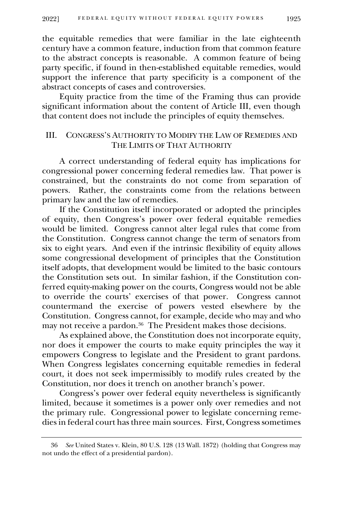the equitable remedies that were familiar in the late eighteenth century have a common feature, induction from that common feature to the abstract concepts is reasonable. A common feature of being party specific, if found in then-established equitable remedies, would support the inference that party specificity is a component of the abstract concepts of cases and controversies.

Equity practice from the time of the Framing thus can provide significant information about the content of Article III, even though that content does not include the principles of equity themselves.

### III. CONGRESS'S AUTHORITY TO MODIFY THE LAW OF REMEDIES AND THE LIMITS OF THAT AUTHORITY

A correct understanding of federal equity has implications for congressional power concerning federal remedies law. That power is constrained, but the constraints do not come from separation of powers. Rather, the constraints come from the relations between primary law and the law of remedies.

If the Constitution itself incorporated or adopted the principles of equity, then Congress's power over federal equitable remedies would be limited. Congress cannot alter legal rules that come from the Constitution. Congress cannot change the term of senators from six to eight years. And even if the intrinsic flexibility of equity allows some congressional development of principles that the Constitution itself adopts, that development would be limited to the basic contours the Constitution sets out. In similar fashion, if the Constitution conferred equity-making power on the courts, Congress would not be able to override the courts' exercises of that power. Congress cannot countermand the exercise of powers vested elsewhere by the Constitution. Congress cannot, for example, decide who may and who may not receive a pardon.<sup>36</sup> The President makes those decisions.

As explained above, the Constitution does not incorporate equity, nor does it empower the courts to make equity principles the way it empowers Congress to legislate and the President to grant pardons. When Congress legislates concerning equitable remedies in federal court, it does not seek impermissibly to modify rules created by the Constitution, nor does it trench on another branch's power.

Congress's power over federal equity nevertheless is significantly limited, because it sometimes is a power only over remedies and not the primary rule. Congressional power to legislate concerning remedies in federal court has three main sources. First, Congress sometimes

<sup>36</sup> *See* United States v. Klein, 80 U.S. 128 (13 Wall. 1872) (holding that Congress may not undo the effect of a presidential pardon).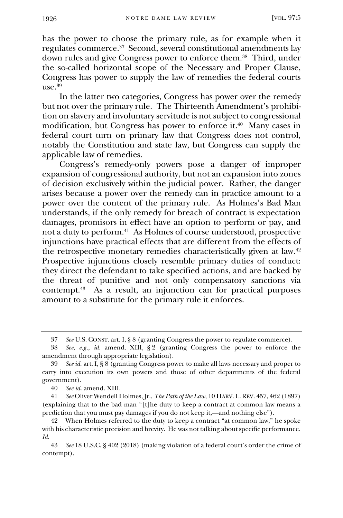has the power to choose the primary rule, as for example when it regulates commerce.<sup>37</sup> Second, several constitutional amendments lay down rules and give Congress power to enforce them.<sup>38</sup> Third, under the so-called horizontal scope of the Necessary and Proper Clause, Congress has power to supply the law of remedies the federal courts  $use<sup>39</sup>$ 

In the latter two categories, Congress has power over the remedy but not over the primary rule. The Thirteenth Amendment's prohibition on slavery and involuntary servitude is not subject to congressional modification, but Congress has power to enforce it. 40 Many cases in federal court turn on primary law that Congress does not control, notably the Constitution and state law, but Congress can supply the applicable law of remedies.

Congress's remedy-only powers pose a danger of improper expansion of congressional authority, but not an expansion into zones of decision exclusively within the judicial power. Rather, the danger arises because a power over the remedy can in practice amount to a power over the content of the primary rule. As Holmes's Bad Man understands, if the only remedy for breach of contract is expectation damages, promisors in effect have an option to perform or pay, and not a duty to perform.<sup>41</sup> As Holmes of course understood, prospective injunctions have practical effects that are different from the effects of the retrospective monetary remedies characteristically given at law.<sup>42</sup> Prospective injunctions closely resemble primary duties of conduct: they direct the defendant to take specified actions, and are backed by the threat of punitive and not only compensatory sanctions via contempt.<sup>43</sup> As a result, an injunction can for practical purposes amount to a substitute for the primary rule it enforces.

<sup>37</sup> *See* U.S. CONST. art. I, § 8 (granting Congress the power to regulate commerce).

<sup>38</sup> *See*, *e.g.*, *id.* amend. XIII, § 2 (granting Congress the power to enforce the amendment through appropriate legislation).

<sup>39</sup> *See id.* art. I, § 8 (granting Congress power to make all laws necessary and proper to carry into execution its own powers and those of other departments of the federal government).

<sup>40</sup> *See id.* amend. XIII.

<sup>41</sup> *See* Oliver Wendell Holmes, Jr., *The Path of the Law*, 10 HARV. L.REV. 457, 462 (1897) (explaining that to the bad man "[t]he duty to keep a contract at common law means a prediction that you must pay damages if you do not keep it,—and nothing else").

<sup>42</sup> When Holmes referred to the duty to keep a contract "at common law," he spoke with his characteristic precision and brevity. He was not talking about specific performance. *Id.*

<sup>43</sup> *See* 18 U.S.C. § 402 (2018) (making violation of a federal court's order the crime of contempt).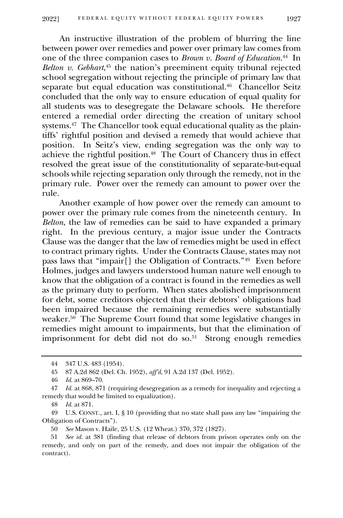An instructive illustration of the problem of blurring the line between power over remedies and power over primary law comes from one of the three companion cases to *Brown v. Board of Education*. 44 In *Belton v. Gebhart*<sup>45</sup> the nation's preeminent equity tribunal rejected school segregation without rejecting the principle of primary law that separate but equal education was constitutional.<sup>46</sup> Chancellor Seitz concluded that the only way to ensure education of equal quality for all students was to desegregate the Delaware schools. He therefore entered a remedial order directing the creation of unitary school systems.<sup>47</sup> The Chancellor took equal educational quality as the plaintiffs' rightful position and devised a remedy that would achieve that position. In Seitz's view, ending segregation was the only way to achieve the rightful position.<sup>48</sup> The Court of Chancery thus in effect resolved the great issue of the constitutionality of separate-but-equal schools while rejecting separation only through the remedy, not in the primary rule. Power over the remedy can amount to power over the rule.

Another example of how power over the remedy can amount to power over the primary rule comes from the nineteenth century. In *Belton*, the law of remedies can be said to have expanded a primary right. In the previous century, a major issue under the Contracts Clause was the danger that the law of remedies might be used in effect to contract primary rights. Under the Contracts Clause, states may not pass laws that "impair[] the Obligation of Contracts." 49 Even before Holmes, judges and lawyers understood human nature well enough to know that the obligation of a contract is found in the remedies as well as the primary duty to perform. When states abolished imprisonment for debt, some creditors objected that their debtors' obligations had been impaired because the remaining remedies were substantially weaker.<sup>50</sup> The Supreme Court found that some legislative changes in remedies might amount to impairments, but that the elimination of imprisonment for debt did not do so.<sup>51</sup> Strong enough remedies

<sup>44</sup> 347 U.S. 483 (1954).

<sup>45</sup> 87 A.2d 862 (Del. Ch. 1952), *aff'd*, 91 A.2d 137 (Del. 1952).

<sup>46</sup> *Id.* at 869–70.

<sup>47</sup> *Id.* at 868, 871 (requiring desegregation as a remedy for inequality and rejecting a remedy that would be limited to equalization).

<sup>48</sup> *Id.* at 871.

<sup>49</sup> U.S. CONST., art. I, § 10 (providing that no state shall pass any law "impairing the Obligation of Contracts").

<sup>50</sup> *See* Mason v. Haile, 25 U.S. (12 Wheat.) 370, 372 (1827).

<sup>51</sup> *See id.* at 381 (finding that release of debtors from prison operates only on the remedy, and only on part of the remedy, and does not impair the obligation of the contract).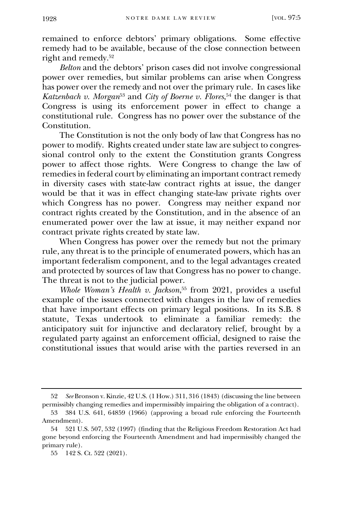remained to enforce debtors' primary obligations. Some effective remedy had to be available, because of the close connection between right and remedy.<sup>52</sup>

*Belton* and the debtors' prison cases did not involve congressional power over remedies, but similar problems can arise when Congress has power over the remedy and not over the primary rule. In cases like *Katzenbach v. Morgan*<sup>53</sup> and *City of Boerne v. Flores*, <sup>54</sup> the danger is that Congress is using its enforcement power in effect to change a constitutional rule. Congress has no power over the substance of the Constitution.

The Constitution is not the only body of law that Congress has no power to modify. Rights created under state law are subject to congressional control only to the extent the Constitution grants Congress power to affect those rights. Were Congress to change the law of remedies in federal court by eliminating an important contract remedy in diversity cases with state-law contract rights at issue, the danger would be that it was in effect changing state-law private rights over which Congress has no power. Congress may neither expand nor contract rights created by the Constitution, and in the absence of an enumerated power over the law at issue, it may neither expand nor contract private rights created by state law.

When Congress has power over the remedy but not the primary rule, any threat is to the principle of enumerated powers, which has an important federalism component, and to the legal advantages created and protected by sources of law that Congress has no power to change. The threat is not to the judicial power.

*Whole Woman's Health v. Jackson*, <sup>55</sup> from 2021, provides a useful example of the issues connected with changes in the law of remedies that have important effects on primary legal positions. In its S.B. 8 statute, Texas undertook to eliminate a familiar remedy: the anticipatory suit for injunctive and declaratory relief, brought by a regulated party against an enforcement official, designed to raise the constitutional issues that would arise with the parties reversed in an

<sup>52</sup> *See* Bronson v. Kinzie, 42 U.S. (1 How.) 311, 316 (1843) (discussing the line between permissibly changing remedies and impermissibly impairing the obligation of a contract).

<sup>53</sup> 384 U.S. 641, 64859 (1966) (approving a broad rule enforcing the Fourteenth Amendment).

<sup>54</sup> 521 U.S. 507, 532 (1997) (finding that the Religious Freedom Restoration Act had gone beyond enforcing the Fourteenth Amendment and had impermissibly changed the primary rule).

<sup>55</sup> 142 S. Ct. 522 (2021).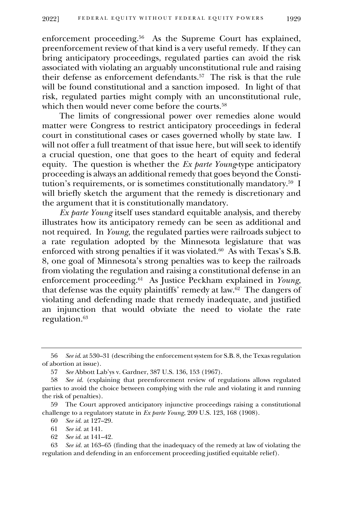enforcement proceeding.<sup>56</sup> As the Supreme Court has explained, preenforcement review of that kind is a very useful remedy. If they can bring anticipatory proceedings, regulated parties can avoid the risk associated with violating an arguably unconstitutional rule and raising their defense as enforcement defendants.<sup>57</sup> The risk is that the rule will be found constitutional and a sanction imposed. In light of that risk, regulated parties might comply with an unconstitutional rule, which then would never come before the courts.<sup>58</sup>

The limits of congressional power over remedies alone would matter were Congress to restrict anticipatory proceedings in federal court in constitutional cases or cases governed wholly by state law. I will not offer a full treatment of that issue here, but will seek to identify a crucial question, one that goes to the heart of equity and federal equity. The question is whether the *Ex parte Young*-type anticipatory proceeding is always an additional remedy that goes beyond the Constitution's requirements, or is sometimes constitutionally mandatory.<sup>59</sup> I will briefly sketch the argument that the remedy is discretionary and the argument that it is constitutionally mandatory.

*Ex parte Young* itself uses standard equitable analysis, and thereby illustrates how its anticipatory remedy can be seen as additional and not required. In *Young*, the regulated parties were railroads subject to a rate regulation adopted by the Minnesota legislature that was enforced with strong penalties if it was violated.<sup>60</sup> As with Texas's S.B. 8, one goal of Minnesota's strong penalties was to keep the railroads from violating the regulation and raising a constitutional defense in an enforcement proceeding.<sup>61</sup> As Justice Peckham explained in *Young*, that defense was the equity plaintiffs' remedy at law.<sup>62</sup> The dangers of violating and defending made that remedy inadequate, and justified an injunction that would obviate the need to violate the rate regulation.<sup>63</sup>

60 *See id.* at 127–29.

62 *See id.* at 141–42.

63 *See id.* at 163–65 (finding that the inadequacy of the remedy at law of violating the regulation and defending in an enforcement proceeding justified equitable relief).

<sup>56</sup> *See id*. at 530–31 (describing the enforcement system for S.B. 8, the Texas regulation of abortion at issue).

<sup>57</sup> *See* Abbott Lab'ys v. Gardner, 387 U.S. 136, 153 (1967).

<sup>58</sup> *See id.* (explaining that preenforcement review of regulations allows regulated parties to avoid the choice between complying with the rule and violating it and running the risk of penalties).

<sup>59</sup> The Court approved anticipatory injunctive proceedings raising a constitutional challenge to a regulatory statute in *Ex parte Young*, 209 U.S. 123, 168 (1908).

<sup>61</sup> *See id.* at 141.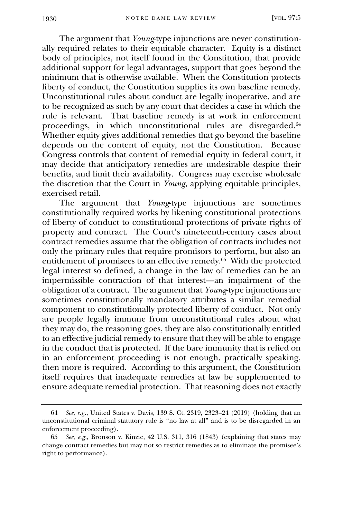The argument that *Young*-type injunctions are never constitutionally required relates to their equitable character. Equity is a distinct body of principles, not itself found in the Constitution, that provide additional support for legal advantages, support that goes beyond the minimum that is otherwise available. When the Constitution protects liberty of conduct, the Constitution supplies its own baseline remedy. Unconstitutional rules about conduct are legally inoperative, and are to be recognized as such by any court that decides a case in which the rule is relevant. That baseline remedy is at work in enforcement proceedings, in which unconstitutional rules are disregarded.<sup>64</sup> Whether equity gives additional remedies that go beyond the baseline depends on the content of equity, not the Constitution. Because Congress controls that content of remedial equity in federal court, it may decide that anticipatory remedies are undesirable despite their benefits, and limit their availability. Congress may exercise wholesale the discretion that the Court in *Young*, applying equitable principles, exercised retail.

The argument that *Young*-type injunctions are sometimes constitutionally required works by likening constitutional protections of liberty of conduct to constitutional protections of private rights of property and contract. The Court's nineteenth-century cases about contract remedies assume that the obligation of contracts includes not only the primary rules that require promisors to perform, but also an entitlement of promisees to an effective remedy.<sup>65</sup> With the protected legal interest so defined, a change in the law of remedies can be an impermissible contraction of that interest—an impairment of the obligation of a contract. The argument that *Young*-type injunctions are sometimes constitutionally mandatory attributes a similar remedial component to constitutionally protected liberty of conduct. Not only are people legally immune from unconstitutional rules about what they may do, the reasoning goes, they are also constitutionally entitled to an effective judicial remedy to ensure that they will be able to engage in the conduct that is protected. If the bare immunity that is relied on in an enforcement proceeding is not enough, practically speaking, then more is required. According to this argument, the Constitution itself requires that inadequate remedies at law be supplemented to ensure adequate remedial protection. That reasoning does not exactly

<sup>64</sup> *See*, *e.g.*, United States v. Davis, 139 S. Ct. 2319, 2323–24 (2019) (holding that an unconstitutional criminal statutory rule is "no law at all" and is to be disregarded in an enforcement proceeding).

<sup>65</sup> *See*, *e.g.*, Bronson v. Kinzie, 42 U.S. 311, 316 (1843) (explaining that states may change contract remedies but may not so restrict remedies as to eliminate the promisee's right to performance).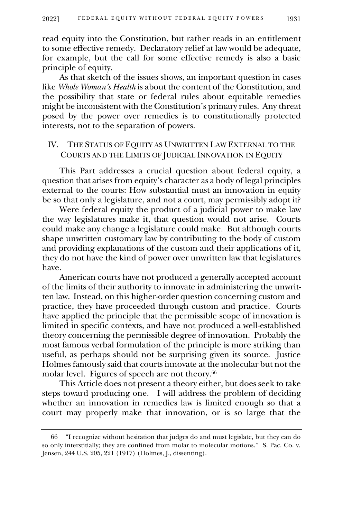read equity into the Constitution, but rather reads in an entitlement to some effective remedy. Declaratory relief at law would be adequate, for example, but the call for some effective remedy is also a basic principle of equity.

As that sketch of the issues shows, an important question in cases like *Whole Woman's Health* is about the content of the Constitution, and the possibility that state or federal rules about equitable remedies might be inconsistent with the Constitution's primary rules. Any threat posed by the power over remedies is to constitutionally protected interests, not to the separation of powers.

# IV. THE STATUS OF EQUITY AS UNWRITTEN LAW EXTERNAL TO THE COURTS AND THE LIMITS OF JUDICIAL INNOVATION IN EQUITY

This Part addresses a crucial question about federal equity, a question that arises from equity's character as a body of legal principles external to the courts: How substantial must an innovation in equity be so that only a legislature, and not a court, may permissibly adopt it?

Were federal equity the product of a judicial power to make law the way legislatures make it, that question would not arise. Courts could make any change a legislature could make. But although courts shape unwritten customary law by contributing to the body of custom and providing explanations of the custom and their applications of it, they do not have the kind of power over unwritten law that legislatures have.

American courts have not produced a generally accepted account of the limits of their authority to innovate in administering the unwritten law. Instead, on this higher-order question concerning custom and practice, they have proceeded through custom and practice. Courts have applied the principle that the permissible scope of innovation is limited in specific contexts, and have not produced a well-established theory concerning the permissible degree of innovation. Probably the most famous verbal formulation of the principle is more striking than useful, as perhaps should not be surprising given its source. Justice Holmes famously said that courts innovate at the molecular but not the molar level. Figures of speech are not theory.<sup>66</sup>

This Article does not present a theory either, but does seek to take steps toward producing one. I will address the problem of deciding whether an innovation in remedies law is limited enough so that a court may properly make that innovation, or is so large that the

<sup>66</sup> "I recognize without hesitation that judges do and must legislate, but they can do so only interstitially; they are confined from molar to molecular motions." S. Pac. Co. v. Jensen, 244 U.S. 205, 221 (1917) (Holmes, J., dissenting).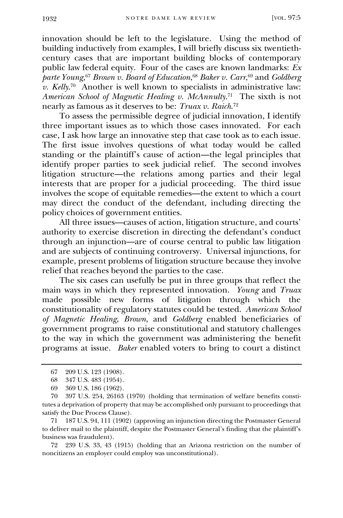innovation should be left to the legislature. Using the method of building inductively from examples, I will briefly discuss six twentiethcentury cases that are important building blocks of contemporary public law federal equity. Four of the cases are known landmarks: *Ex parte Young*, <sup>67</sup> *Brown v. Board of Education*, <sup>68</sup> *Baker v. Carr*, <sup>69</sup> and *Goldberg v. Kelly*. 70 Another is well known to specialists in administrative law: *American School of Magnetic Healing v. McAnnulty*. 71 The sixth is not nearly as famous as it deserves to be: *Truax v. Raich*. 72

To assess the permissible degree of judicial innovation, I identify three important issues as to which those cases innovated. For each case, I ask how large an innovative step that case took as to each issue. The first issue involves questions of what today would be called standing or the plaintiff's cause of action—the legal principles that identify proper parties to seek judicial relief. The second involves litigation structure—the relations among parties and their legal interests that are proper for a judicial proceeding. The third issue involves the scope of equitable remedies—the extent to which a court may direct the conduct of the defendant, including directing the policy choices of government entities.

All three issues—causes of action, litigation structure, and courts' authority to exercise discretion in directing the defendant's conduct through an injunction—are of course central to public law litigation and are subjects of continuing controversy. Universal injunctions, for example, present problems of litigation structure because they involve relief that reaches beyond the parties to the case.

The six cases can usefully be put in three groups that reflect the main ways in which they represented innovation. *Young* and *Truax* made possible new forms of litigation through which the constitutionality of regulatory statutes could be tested. *American School of Magnetic Healing*, *Brown*, and *Goldberg* enabled beneficiaries of government programs to raise constitutional and statutory challenges to the way in which the government was administering the benefit programs at issue. *Baker* enabled voters to bring to court a distinct

71 187 U.S. 94, 111 (1902) (approving an injunction directing the Postmaster General to deliver mail to the plaintiff, despite the Postmaster General's finding that the plaintiff's business was fraudulent).

72 239 U.S. 33, 43 (1915) (holding that an Arizona restriction on the number of noncitizens an employer could employ was unconstitutional).

<sup>67</sup> 209 U.S. 123 (1908).

<sup>68</sup> 347 U.S. 483 (1954).

<sup>69</sup> 369 U.S. 186 (1962).

<sup>70</sup> 397 U.S. 254, 26163 (1970) (holding that termination of welfare benefits constitutes a deprivation of property that may be accomplished only pursuant to proceedings that satisfy the Due Process Clause).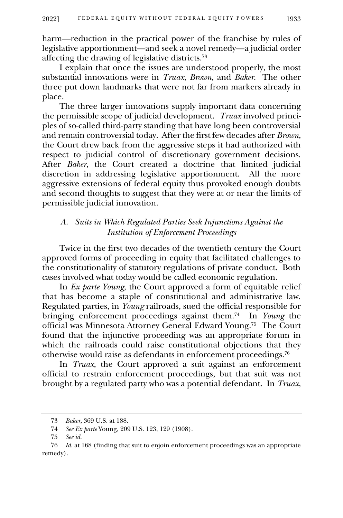harm—reduction in the practical power of the franchise by rules of legislative apportionment—and seek a novel remedy—a judicial order affecting the drawing of legislative districts.<sup>73</sup>

I explain that once the issues are understood properly, the most substantial innovations were in *Truax*, *Brown*, and *Baker*. The other three put down landmarks that were not far from markers already in place.

The three larger innovations supply important data concerning the permissible scope of judicial development. *Truax* involved principles of so-called third-party standing that have long been controversial and remain controversial today. After the first few decades after *Brown*, the Court drew back from the aggressive steps it had authorized with respect to judicial control of discretionary government decisions. After *Baker*, the Court created a doctrine that limited judicial discretion in addressing legislative apportionment. All the more aggressive extensions of federal equity thus provoked enough doubts and second thoughts to suggest that they were at or near the limits of permissible judicial innovation.

### *A. Suits in Which Regulated Parties Seek Injunctions Against the Institution of Enforcement Proceedings*

Twice in the first two decades of the twentieth century the Court approved forms of proceeding in equity that facilitated challenges to the constitutionality of statutory regulations of private conduct. Both cases involved what today would be called economic regulation.

In *Ex parte Young*, the Court approved a form of equitable relief that has become a staple of constitutional and administrative law. Regulated parties, in *Young* railroads, sued the official responsible for bringing enforcement proceedings against them.<sup>74</sup> In *Young* the official was Minnesota Attorney General Edward Young.<sup>75</sup> The Court found that the injunctive proceeding was an appropriate forum in which the railroads could raise constitutional objections that they otherwise would raise as defendants in enforcement proceedings.<sup>76</sup>

In *Truax*, the Court approved a suit against an enforcement official to restrain enforcement proceedings, but that suit was not brought by a regulated party who was a potential defendant. In *Truax*,

<sup>73</sup> *Baker*, 369 U.S. at 188.

<sup>74</sup> *See Ex parte* Young, 209 U.S. 123, 129 (1908).

<sup>75</sup> *See id.*

<sup>76</sup> *Id.* at 168 (finding that suit to enjoin enforcement proceedings was an appropriate remedy).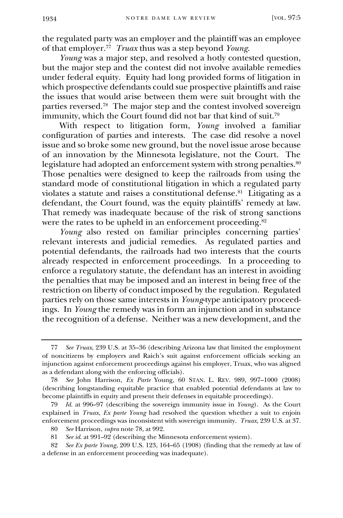the regulated party was an employer and the plaintiff was an employee of that employer.<sup>77</sup> *Truax* thus was a step beyond *Young*.

*Young* was a major step, and resolved a hotly contested question, but the major step and the contest did not involve available remedies under federal equity. Equity had long provided forms of litigation in which prospective defendants could sue prospective plaintiffs and raise the issues that would arise between them were suit brought with the parties reversed.<sup>78</sup> The major step and the contest involved sovereign immunity, which the Court found did not bar that kind of suit.<sup>79</sup>

With respect to litigation form, *Young* involved a familiar configuration of parties and interests. The case did resolve a novel issue and so broke some new ground, but the novel issue arose because of an innovation by the Minnesota legislature, not the Court. The legislature had adopted an enforcement system with strong penalties.<sup>80</sup> Those penalties were designed to keep the railroads from using the standard mode of constitutional litigation in which a regulated party violates a statute and raises a constitutional defense.<sup>81</sup> Litigating as a defendant, the Court found, was the equity plaintiffs' remedy at law. That remedy was inadequate because of the risk of strong sanctions were the rates to be upheld in an enforcement proceeding.<sup>82</sup>

*Young* also rested on familiar principles concerning parties' relevant interests and judicial remedies. As regulated parties and potential defendants, the railroads had two interests that the courts already respected in enforcement proceedings. In a proceeding to enforce a regulatory statute, the defendant has an interest in avoiding the penalties that may be imposed and an interest in being free of the restriction on liberty of conduct imposed by the regulation. Regulated parties rely on those same interests in *Young*-type anticipatory proceedings. In *Young* the remedy was in form an injunction and in substance the recognition of a defense. Neither was a new development, and the

<sup>77</sup> *See Truax*, 239 U.S. at 35–36 (describing Arizona law that limited the employment of noncitizens by employers and Raich's suit against enforcement officials seeking an injunction against enforcement proceedings against his employer, Truax, who was aligned as a defendant along with the enforcing officials).

<sup>78</sup> *See* John Harrison, *Ex Parte* Young, 60 STAN. L. REV. 989, 997–1000 (2008) (describing longstanding equitable practice that enabled potential defendants at law to become plaintiffs in equity and present their defenses in equitable proceedings).

<sup>79</sup> *Id.* at 996–97 (describing the sovereign immunity issue in *Young*). As the Court explained in *Truax*, *Ex parte Young* had resolved the question whether a suit to enjoin enforcement proceedings was inconsistent with sovereign immunity. *Truax*, 239 U.S. at 37.

<sup>80</sup> *See* Harrison, *supra* note 78, at 992. See *id.* at 991-92 (describing the Minnesota enforcement system).

<sup>82</sup> *See Ex parte Young*, 209 U.S. 123, 164–65 (1908) (finding that the remedy at law of a defense in an enforcement proceeding was inadequate).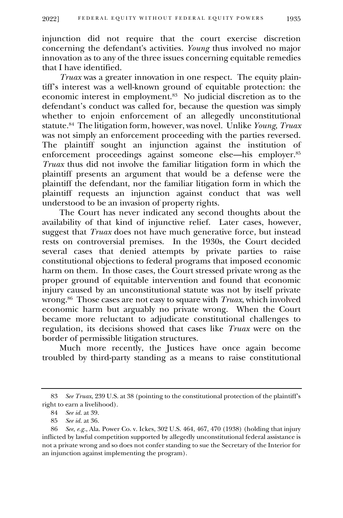injunction did not require that the court exercise discretion concerning the defendant's activities. *Young* thus involved no major innovation as to any of the three issues concerning equitable remedies that I have identified.

*Truax* was a greater innovation in one respect. The equity plaintiff's interest was a well-known ground of equitable protection: the economic interest in employment.<sup>83</sup> No judicial discretion as to the defendant's conduct was called for, because the question was simply whether to enjoin enforcement of an allegedly unconstitutional statute. 84 The litigation form, however, was novel. Unlike *Young*, *Truax* was not simply an enforcement proceeding with the parties reversed. The plaintiff sought an injunction against the institution of enforcement proceedings against someone else—his employer.<sup>85</sup> *Truax* thus did not involve the familiar litigation form in which the plaintiff presents an argument that would be a defense were the plaintiff the defendant, nor the familiar litigation form in which the plaintiff requests an injunction against conduct that was well understood to be an invasion of property rights.

The Court has never indicated any second thoughts about the availability of that kind of injunctive relief. Later cases, however, suggest that *Truax* does not have much generative force, but instead rests on controversial premises. In the 1930s, the Court decided several cases that denied attempts by private parties to raise constitutional objections to federal programs that imposed economic harm on them. In those cases, the Court stressed private wrong as the proper ground of equitable intervention and found that economic injury caused by an unconstitutional statute was not by itself private wrong.<sup>86</sup> Those cases are not easy to square with *Truax*, which involved economic harm but arguably no private wrong. When the Court became more reluctant to adjudicate constitutional challenges to regulation, its decisions showed that cases like *Truax* were on the border of permissible litigation structures.

Much more recently, the Justices have once again become troubled by third-party standing as a means to raise constitutional

<sup>83</sup> *See Truax*, 239 U.S. at 38 (pointing to the constitutional protection of the plaintiff's right to earn a livelihood).

<sup>84</sup> *See id.* at 39.

<sup>85</sup> *See id.* at 36.

<sup>86</sup> *See*, *e.g.*, Ala. Power Co. v. Ickes, 302 U.S. 464, 467, 470 (1938) (holding that injury inflicted by lawful competition supported by allegedly unconstitutional federal assistance is not a private wrong and so does not confer standing to sue the Secretary of the Interior for an injunction against implementing the program).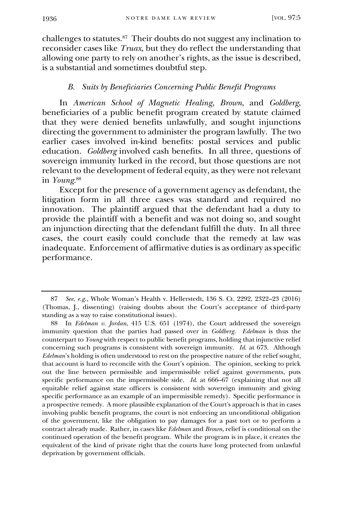challenges to statutes.<sup>87</sup> Their doubts do not suggest any inclination to reconsider cases like *Truax*, but they do reflect the understanding that allowing one party to rely on another's rights, as the issue is described, is a substantial and sometimes doubtful step.

### *B. Suits by Beneficiaries Concerning Public Benefit Programs*

In *American School of Magnetic Healing*, *Brown*, and *Goldberg*, beneficiaries of a public benefit program created by statute claimed that they were denied benefits unlawfully, and sought injunctions directing the government to administer the program lawfully. The two earlier cases involved in-kind benefits: postal services and public education. *Goldberg* involved cash benefits. In all three, questions of sovereign immunity lurked in the record, but those questions are not relevant to the development of federal equity, as they were not relevant in *Young*. 88

Except for the presence of a government agency as defendant, the litigation form in all three cases was standard and required no innovation. The plaintiff argued that the defendant had a duty to provide the plaintiff with a benefit and was not doing so, and sought an injunction directing that the defendant fulfill the duty. In all three cases, the court easily could conclude that the remedy at law was inadequate. Enforcement of affirmative duties is as ordinary as specific performance.

<sup>87</sup> *See*, *e.g.*, Whole Woman's Health v. Hellerstedt, 136 S. Ct. 2292, 2322–23 (2016) (Thomas, J., dissenting) (raising doubts about the Court's acceptance of third-party standing as a way to raise constitutional issues).

<sup>88</sup> In *Edelman v. Jordan*, 415 U.S. 651 (1974), the Court addressed the sovereign immunity question that the parties had passed over in *Goldberg*. *Edelman* is thus the counterpart to *Young* with respect to public benefit programs, holding that injunctive relief concerning such programs is consistent with sovereign immunity. *Id.* at 673. Although *Edelman*'s holding is often understood to rest on the prospective nature of the relief sought, that account is hard to reconcile with the Court's opinion. The opinion, seeking to prick out the line between permissible and impermissible relief against governments, puts specific performance on the impermissible side. *Id*. at 666–67 (explaining that not all equitable relief against state officers is consistent with sovereign immunity and giving specific performance as an example of an impermissible remedy). Specific performance is a prospective remedy. A more plausible explanation of the Court's approach is that in cases involving public benefit programs, the court is not enforcing an unconditional obligation of the government, like the obligation to pay damages for a past tort or to perform a contract already made. Rather, in cases like *Edelman* and *Brown*, relief is conditional on the continued operation of the benefit program. While the program is in place, it creates the equivalent of the kind of private right that the courts have long protected from unlawful deprivation by government officials.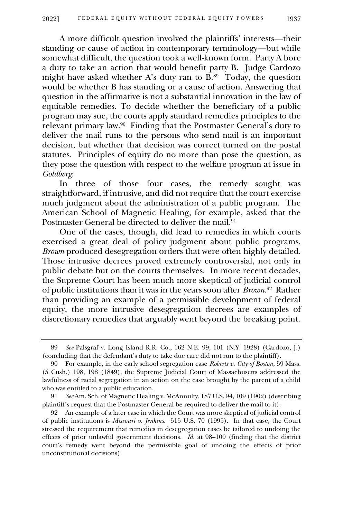A more difficult question involved the plaintiffs' interests—their standing or cause of action in contemporary terminology—but while somewhat difficult, the question took a well-known form. Party A bore a duty to take an action that would benefit party B. Judge Cardozo might have asked whether A's duty ran to B.<sup>89</sup> Today, the question would be whether B has standing or a cause of action. Answering that question in the affirmative is not a substantial innovation in the law of equitable remedies. To decide whether the beneficiary of a public program may sue, the courts apply standard remedies principles to the relevant primary law.<sup>90</sup> Finding that the Postmaster General's duty to deliver the mail runs to the persons who send mail is an important decision, but whether that decision was correct turned on the postal statutes. Principles of equity do no more than pose the question, as they pose the question with respect to the welfare program at issue in *Goldberg*.

In three of those four cases, the remedy sought was straightforward, if intrusive, and did not require that the court exercise much judgment about the administration of a public program. The American School of Magnetic Healing, for example, asked that the Postmaster General be directed to deliver the mail.<sup>91</sup>

One of the cases, though, did lead to remedies in which courts exercised a great deal of policy judgment about public programs. *Brown* produced desegregation orders that were often highly detailed. Those intrusive decrees proved extremely controversial, not only in public debate but on the courts themselves. In more recent decades, the Supreme Court has been much more skeptical of judicial control of public institutions than it was in the years soon after *Brown*. 92 Rather than providing an example of a permissible development of federal equity, the more intrusive desegregation decrees are examples of discretionary remedies that arguably went beyond the breaking point.

<sup>89</sup> *See* Palsgraf v. Long Island R.R. Co., 162 N.E. 99, 101 (N.Y. 1928) (Cardozo, J.) (concluding that the defendant's duty to take due care did not run to the plaintiff).

<sup>90</sup> For example, in the early school segregation case *Roberts v. City of Boston*, 59 Mass. (5 Cush.) 198, 198 (1849), the Supreme Judicial Court of Massachusetts addressed the lawfulness of racial segregation in an action on the case brought by the parent of a child who was entitled to a public education.

<sup>91</sup> *See* Am. Sch. of Magnetic Healing v. McAnnulty, 187 U.S. 94, 109 (1902) (describing plaintiff's request that the Postmaster General be required to deliver the mail to it).

<sup>92</sup> An example of a later case in which the Court was more skeptical of judicial control of public institutions is *Missouri v. Jenkins*. 515 U.S. 70 (1995). In that case, the Court stressed the requirement that remedies in desegregation cases be tailored to undoing the effects of prior unlawful government decisions. *Id.* at 98–100 (finding that the district court's remedy went beyond the permissible goal of undoing the effects of prior unconstitutional decisions).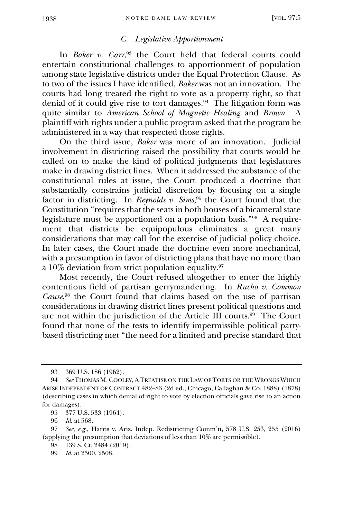### *C. Legislative Apportionment*

In *Baker v. Carr*, <sup>93</sup> the Court held that federal courts could entertain constitutional challenges to apportionment of population among state legislative districts under the Equal Protection Clause. As to two of the issues I have identified, *Baker* was not an innovation. The courts had long treated the right to vote as a property right, so that denial of it could give rise to tort damages.<sup>94</sup> The litigation form was quite similar to *American School of Magnetic Healing* and *Brown*. A plaintiff with rights under a public program asked that the program be administered in a way that respected those rights.

On the third issue, *Baker* was more of an innovation. Judicial involvement in districting raised the possibility that courts would be called on to make the kind of political judgments that legislatures make in drawing district lines. When it addressed the substance of the constitutional rules at issue, the Court produced a doctrine that substantially constrains judicial discretion by focusing on a single factor in districting. In *Reynolds v. Sims*, <sup>95</sup> the Court found that the Constitution "requires that the seats in both houses of a bicameral state legislature must be apportioned on a population basis."<sup>96</sup> A requirement that districts be equipopulous eliminates a great many considerations that may call for the exercise of judicial policy choice. In later cases, the Court made the doctrine even more mechanical, with a presumption in favor of districting plans that have no more than a 10% deviation from strict population equality.<sup>97</sup>

Most recently, the Court refused altogether to enter the highly contentious field of partisan gerrymandering. In *Rucho v. Common Cause*, <sup>98</sup> the Court found that claims based on the use of partisan considerations in drawing district lines present political questions and are not within the jurisdiction of the Article III courts.<sup>99</sup> The Court found that none of the tests to identify impermissible political partybased districting met "the need for a limited and precise standard that

<sup>93</sup> 369 U.S. 186 (1962).

<sup>94</sup> *See* THOMAS M.COOLEY,A TREATISE ON THE LAW OF TORTS OR THE WRONGS WHICH ARISE INDEPENDENT OF CONTRACT 482–83 (2d ed., Chicago, Callaghan & Co. 1888) (1878) (describing cases in which denial of right to vote by election officials gave rise to an action for damages).

<sup>95</sup> 377 U.S. 533 (1964).

<sup>96</sup> *Id*. at 568.

<sup>97</sup> *See*, *e.g.*, Harris v. Ariz. Indep. Redistricting Comm'n, 578 U.S. 253, 255 (2016) (applying the presumption that deviations of less than 10% are permissible).

<sup>98</sup> 139 S. Ct. 2484 (2019).

<sup>99</sup> *Id*. at 2500, 2508.